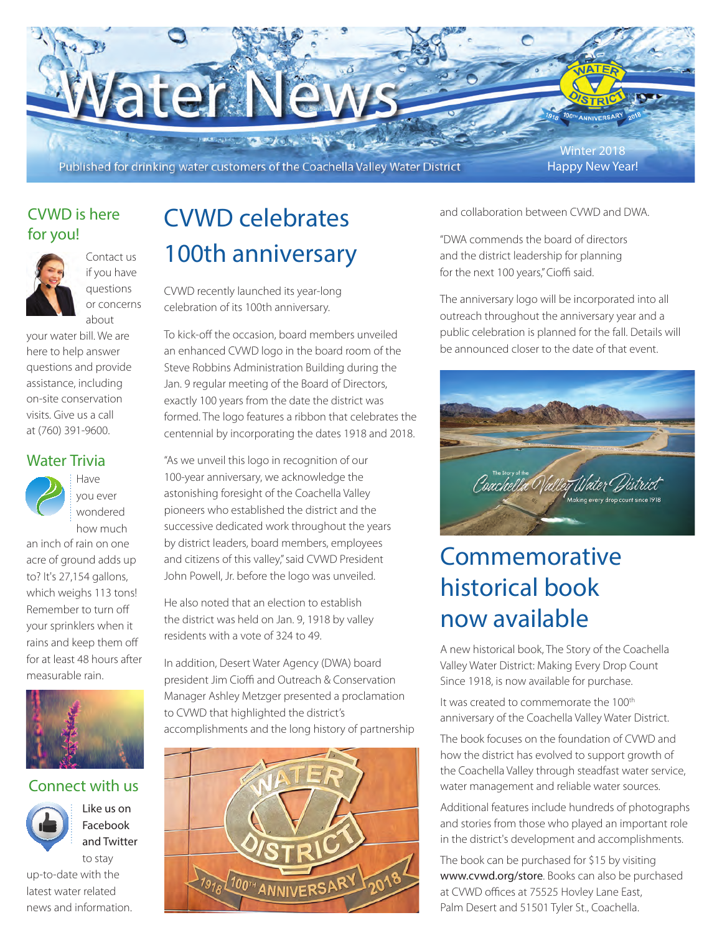- HARRY CONTROLLED TO Published for drinking water customers of the Coachella Valley Water District

**Water Nev** 

Winter 2018 Happy New Year!

**ANNIVERSA** 

### CVWD is here for you!



if you have questions or concerns about

your water bill. We are here to help answer questions and provide assistance, including on-site conservation visits. Give us a call at (760) 391-9600.

### Water Trivia



Have you ever wondered how much

an inch of rain on one acre of ground adds up to? It's 27,154 gallons, which weighs 113 tons! Remember to turn off your sprinklers when it rains and keep them off for at least 48 hours after measurable rain.



### Connect with us

Like us on Facebook and Twitter

to stay up-to-date with the latest water related news and information.

# CVWD celebrates 100th anniversary

CVWD recently launched its year-long celebration of its 100th anniversary.

To kick-off the occasion, board members unveiled an enhanced CVWD logo in the board room of the Steve Robbins Administration Building during the Jan. 9 regular meeting of the Board of Directors, exactly 100 years from the date the district was formed. The logo features a ribbon that celebrates the centennial by incorporating the dates 1918 and 2018.

"As we unveil this logo in recognition of our 100-year anniversary, we acknowledge the astonishing foresight of the Coachella Valley pioneers who established the district and the successive dedicated work throughout the years by district leaders, board members, employees and citizens of this valley," said CVWD President John Powell, Jr. before the logo was unveiled.

He also noted that an election to establish the district was held on Jan. 9, 1918 by valley residents with a vote of 324 to 49.

In addition, Desert Water Agency (DWA) board president Jim Cioffi and Outreach & Conservation Manager Ashley Metzger presented a proclamation to CVWD that highlighted the district's accomplishments and the long history of partnership



and collaboration between CVWD and DWA.

"DWA commends the board of directors and the district leadership for planning for the next 100 years," Cioffi said.

The anniversary logo will be incorporated into all outreach throughout the anniversary year and a public celebration is planned for the fall. Details will be announced closer to the date of that event.



## Commemorative historical book now available

A new historical book, The Story of the Coachella Valley Water District: Making Every Drop Count Since 1918, is now available for purchase.

It was created to commemorate the 100<sup>th</sup> anniversary of the Coachella Valley Water District.

The book focuses on the foundation of CVWD and how the district has evolved to support growth of the Coachella Valley through steadfast water service, water management and reliable water sources.

Additional features include hundreds of photographs and stories from those who played an important role in the district's development and accomplishments.

The book can be purchased for \$15 by visiting www.cvwd.org/store. Books can also be purchased at CVWD offices at 75525 Hovley Lane East, Palm Desert and 51501 Tyler St., Coachella.